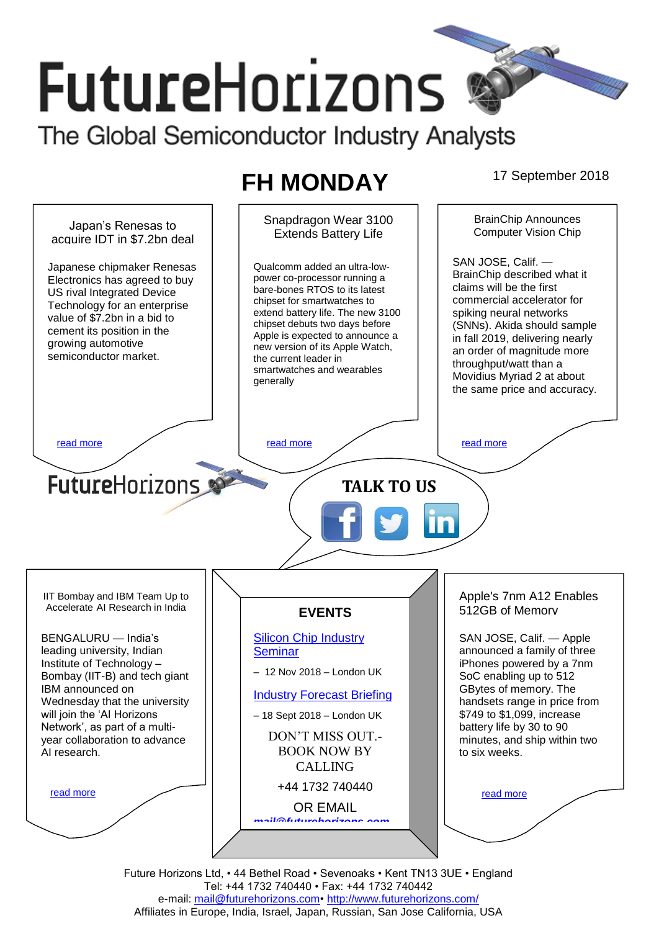# **FutureHorizons** The Global Semiconductor Industry Analysts

## **FH MONDAY** 17 September 2018



Future Horizons Ltd, • 44 Bethel Road • Sevenoaks • Kent TN13 3UE • England Tel: +44 1732 740440 • Fax: +44 1732 740442 e-mail: mail@futurehorizons.com• http://www.futurehorizons.com/ Affiliates in Europe, India, Israel, Japan, Russian, San Jose California, USA